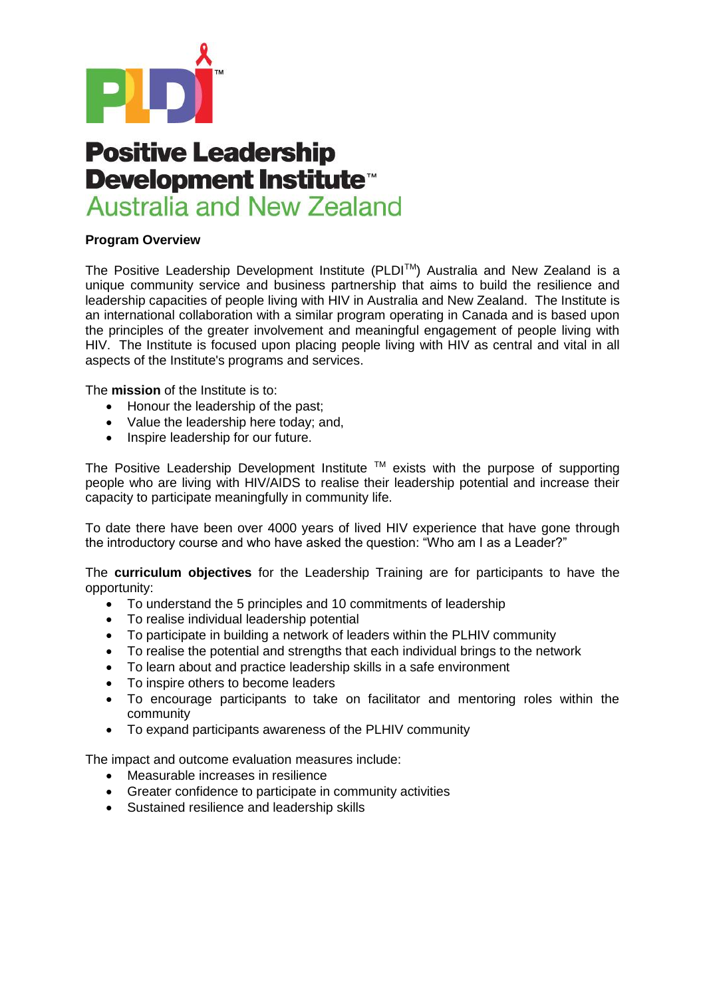

## **Positive Leadership** Development Institute<sup>\*</sup> **Australia and New Zealand**

## **Program Overview**

The Positive Leadership Development Institute (PLDITM) Australia and New Zealand is a unique community service and business partnership that aims to build the resilience and leadership capacities of people living with HIV in Australia and New Zealand. The Institute is an international collaboration with a similar program operating in Canada and is based upon the principles of the greater involvement and meaningful engagement of people living with HIV. The Institute is focused upon placing people living with HIV as central and vital in all aspects of the Institute's programs and services.

The **mission** of the Institute is to:

- Honour the leadership of the past;
- Value the leadership here today; and,
- Inspire leadership for our future.

The Positive Leadership Development Institute  $TM$  exists with the purpose of supporting people who are living with HIV/AIDS to realise their leadership potential and increase their capacity to participate meaningfully in community life.

To date there have been over 4000 years of lived HIV experience that have gone through the introductory course and who have asked the question: "Who am I as a Leader?"

The **curriculum objectives** for the Leadership Training are for participants to have the opportunity:

- To understand the 5 principles and 10 commitments of leadership
- To realise individual leadership potential
- To participate in building a network of leaders within the PLHIV community
- To realise the potential and strengths that each individual brings to the network
- To learn about and practice leadership skills in a safe environment
- To inspire others to become leaders
- To encourage participants to take on facilitator and mentoring roles within the community
- To expand participants awareness of the PLHIV community

The impact and outcome evaluation measures include:

- Measurable increases in resilience
- Greater confidence to participate in community activities
- Sustained resilience and leadership skills